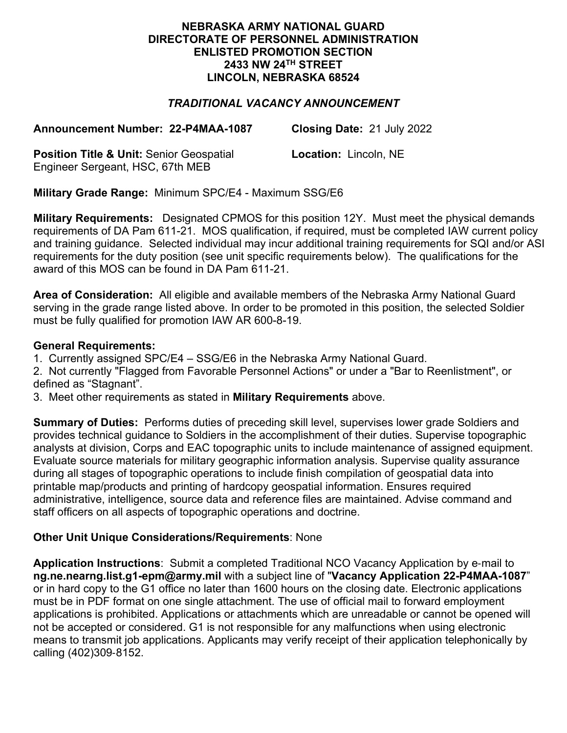### **NEBRASKA ARMY NATIONAL GUARD DIRECTORATE OF PERSONNEL ADMINISTRATION ENLISTED PROMOTION SECTION 2433 NW 24TH STREET LINCOLN, NEBRASKA 68524**

# *TRADITIONAL VACANCY ANNOUNCEMENT*

**Announcement Number: 22-P4MAA-1087 Closing Date:** 21 July 2022

**Position Title & Unit:** Senior Geospatial Engineer Sergeant, HSC, 67th MEB

**Location:** Lincoln, NE

**Military Grade Range:** Minimum SPC/E4 - Maximum SSG/E6

**Military Requirements:** Designated CPMOS for this position 12Y. Must meet the physical demands requirements of DA Pam 611-21. MOS qualification, if required, must be completed IAW current policy and training guidance. Selected individual may incur additional training requirements for SQI and/or ASI requirements for the duty position (see unit specific requirements below). The qualifications for the award of this MOS can be found in DA Pam 611-21.

**Area of Consideration:** All eligible and available members of the Nebraska Army National Guard serving in the grade range listed above. In order to be promoted in this position, the selected Soldier must be fully qualified for promotion IAW AR 600-8-19.

### **General Requirements:**

1. Currently assigned SPC/E4 – SSG/E6 in the Nebraska Army National Guard.

2. Not currently "Flagged from Favorable Personnel Actions" or under a "Bar to Reenlistment", or defined as "Stagnant".

3. Meet other requirements as stated in **Military Requirements** above.

**Summary of Duties:** Performs duties of preceding skill level, supervises lower grade Soldiers and provides technical guidance to Soldiers in the accomplishment of their duties. Supervise topographic analysts at division, Corps and EAC topographic units to include maintenance of assigned equipment. Evaluate source materials for military geographic information analysis. Supervise quality assurance during all stages of topographic operations to include finish compilation of geospatial data into printable map/products and printing of hardcopy geospatial information. Ensures required administrative, intelligence, source data and reference files are maintained. Advise command and staff officers on all aspects of topographic operations and doctrine.

## **Other Unit Unique Considerations/Requirements**: None

**Application Instructions**: Submit a completed Traditional NCO Vacancy Application by e-mail to **ng.ne.nearng.list.g1-epm@army.mil** with a subject line of "**Vacancy Application 22-P4MAA-1087**" or in hard copy to the G1 office no later than 1600 hours on the closing date. Electronic applications must be in PDF format on one single attachment. The use of official mail to forward employment applications is prohibited. Applications or attachments which are unreadable or cannot be opened will not be accepted or considered. G1 is not responsible for any malfunctions when using electronic means to transmit job applications. Applicants may verify receipt of their application telephonically by calling (402)309-8152.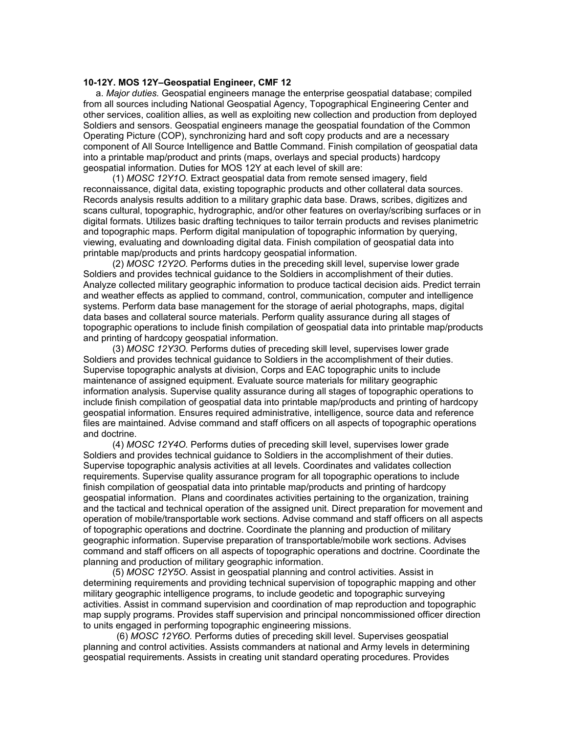#### **10-12Y. MOS 12Y–Geospatial Engineer, CMF 12**

 a. *Major duties.* Geospatial engineers manage the enterprise geospatial database; compiled from all sources including National Geospatial Agency, Topographical Engineering Center and other services, coalition allies, as well as exploiting new collection and production from deployed Soldiers and sensors. Geospatial engineers manage the geospatial foundation of the Common Operating Picture (COP), synchronizing hard and soft copy products and are a necessary component of All Source Intelligence and Battle Command. Finish compilation of geospatial data into a printable map/product and prints (maps, overlays and special products) hardcopy geospatial information. Duties for MOS 12Y at each level of skill are:

 (1) *MOSC 12Y1O*. Extract geospatial data from remote sensed imagery, field reconnaissance, digital data, existing topographic products and other collateral data sources. Records analysis results addition to a military graphic data base. Draws, scribes, digitizes and scans cultural, topographic, hydrographic, and/or other features on overlay/scribing surfaces or in digital formats. Utilizes basic drafting techniques to tailor terrain products and revises planimetric and topographic maps. Perform digital manipulation of topographic information by querying, viewing, evaluating and downloading digital data. Finish compilation of geospatial data into printable map/products and prints hardcopy geospatial information.

 (2) *MOSC 12Y2O.* Performs duties in the preceding skill level, supervise lower grade Soldiers and provides technical guidance to the Soldiers in accomplishment of their duties. Analyze collected military geographic information to produce tactical decision aids. Predict terrain and weather effects as applied to command, control, communication, computer and intelligence systems. Perform data base management for the storage of aerial photographs, maps, digital data bases and collateral source materials. Perform quality assurance during all stages of topographic operations to include finish compilation of geospatial data into printable map/products and printing of hardcopy geospatial information.

 (3) *MOSC 12Y3O.* Performs duties of preceding skill level, supervises lower grade Soldiers and provides technical guidance to Soldiers in the accomplishment of their duties. Supervise topographic analysts at division, Corps and EAC topographic units to include maintenance of assigned equipment. Evaluate source materials for military geographic information analysis. Supervise quality assurance during all stages of topographic operations to include finish compilation of geospatial data into printable map/products and printing of hardcopy geospatial information. Ensures required administrative, intelligence, source data and reference files are maintained. Advise command and staff officers on all aspects of topographic operations and doctrine.

 (4) *MOSC 12Y4O.* Performs duties of preceding skill level, supervises lower grade Soldiers and provides technical guidance to Soldiers in the accomplishment of their duties. Supervise topographic analysis activities at all levels. Coordinates and validates collection requirements. Supervise quality assurance program for all topographic operations to include finish compilation of geospatial data into printable map/products and printing of hardcopy geospatial information. Plans and coordinates activities pertaining to the organization, training and the tactical and technical operation of the assigned unit. Direct preparation for movement and operation of mobile/transportable work sections. Advise command and staff officers on all aspects of topographic operations and doctrine. Coordinate the planning and production of military geographic information. Supervise preparation of transportable/mobile work sections. Advises command and staff officers on all aspects of topographic operations and doctrine. Coordinate the planning and production of military geographic information.

 (5) *MOSC 12Y5O*. Assist in geospatial planning and control activities. Assist in determining requirements and providing technical supervision of topographic mapping and other military geographic intelligence programs, to include geodetic and topographic surveying activities. Assist in command supervision and coordination of map reproduction and topographic map supply programs. Provides staff supervision and principal noncommissioned officer direction to units engaged in performing topographic engineering missions.

(6) *MOSC 12Y6O.* Performs duties of preceding skill level. Supervises geospatial planning and control activities. Assists commanders at national and Army levels in determining geospatial requirements. Assists in creating unit standard operating procedures. Provides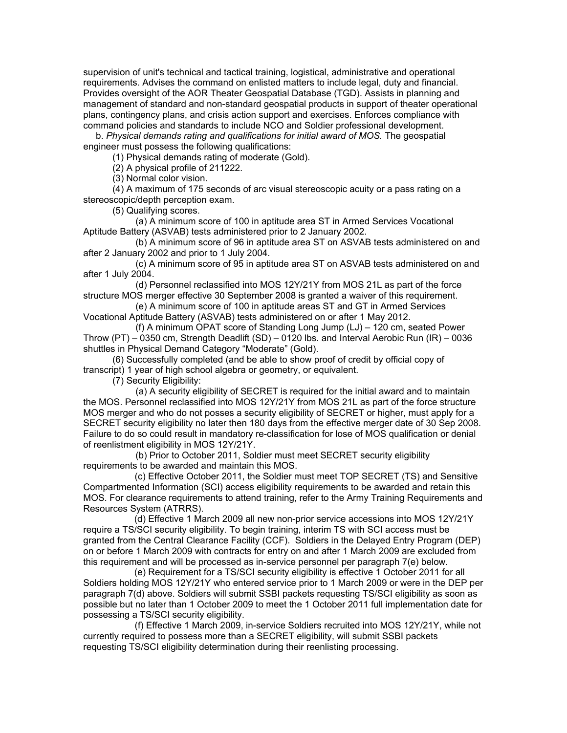supervision of unit's technical and tactical training, logistical, administrative and operational requirements. Advises the command on enlisted matters to include legal, duty and financial. Provides oversight of the AOR Theater Geospatial Database (TGD). Assists in planning and management of standard and non-standard geospatial products in support of theater operational plans, contingency plans, and crisis action support and exercises. Enforces compliance with command policies and standards to include NCO and Soldier professional development.

 b. *Physical demands rating and qualifications for initial award of MOS.* The geospatial engineer must possess the following qualifications:

(1) Physical demands rating of moderate (Gold).

(2) A physical profile of 211222.

(3) Normal color vision.

 (4) A maximum of 175 seconds of arc visual stereoscopic acuity or a pass rating on a stereoscopic/depth perception exam.

(5) Qualifying scores.

 (a) A minimum score of 100 in aptitude area ST in Armed Services Vocational Aptitude Battery (ASVAB) tests administered prior to 2 January 2002.

 (b) A minimum score of 96 in aptitude area ST on ASVAB tests administered on and after 2 January 2002 and prior to 1 July 2004.

 (c) A minimum score of 95 in aptitude area ST on ASVAB tests administered on and after 1 July 2004.

 (d) Personnel reclassified into MOS 12Y/21Y from MOS 21L as part of the force structure MOS merger effective 30 September 2008 is granted a waiver of this requirement.

 (e) A minimum score of 100 in aptitude areas ST and GT in Armed Services Vocational Aptitude Battery (ASVAB) tests administered on or after 1 May 2012.

 (f) A minimum OPAT score of Standing Long Jump (LJ) – 120 cm, seated Power Throw (PT) – 0350 cm, Strength Deadlift (SD) – 0120 lbs. and Interval Aerobic Run (IR) – 0036 shuttles in Physical Demand Category "Moderate" (Gold).

 (6) Successfully completed (and be able to show proof of credit by official copy of transcript) 1 year of high school algebra or geometry, or equivalent.

(7) Security Eligibility:

 (a) A security eligibility of SECRET is required for the initial award and to maintain the MOS. Personnel reclassified into MOS 12Y/21Y from MOS 21L as part of the force structure MOS merger and who do not posses a security eligibility of SECRET or higher, must apply for a SECRET security eligibility no later then 180 days from the effective merger date of 30 Sep 2008. Failure to do so could result in mandatory re-classification for lose of MOS qualification or denial of reenlistment eligibility in MOS 12Y/21Y.

 (b) Prior to October 2011, Soldier must meet SECRET security eligibility requirements to be awarded and maintain this MOS.

 (c) Effective October 2011, the Soldier must meet TOP SECRET (TS) and Sensitive Compartmented Information (SCI) access eligibility requirements to be awarded and retain this MOS. For clearance requirements to attend training, refer to the Army Training Requirements and Resources System (ATRRS).<br>(d) Effective 1 March 2009 all new non-prior service accessions into MOS 12Y/21Y

require a TS/SCI security eligibility. To begin training, interim TS with SCI access must be granted from the Central Clearance Facility (CCF). Soldiers in the Delayed Entry Program (DEP) on or before 1 March 2009 with contracts for entry on and after 1 March 2009 are excluded from this requirement and will be processed as in-service personnel per paragraph 7(e) below.

 (e) Requirement for a TS/SCI security eligibility is effective 1 October 2011 for all Soldiers holding MOS 12Y/21Y who entered service prior to 1 March 2009 or were in the DEP per paragraph 7(d) above. Soldiers will submit SSBI packets requesting TS/SCI eligibility as soon as possible but no later than 1 October 2009 to meet the 1 October 2011 full implementation date for possessing a TS/SCI security eligibility.

 (f) Effective 1 March 2009, in-service Soldiers recruited into MOS 12Y/21Y, while not currently required to possess more than a SECRET eligibility, will submit SSBI packets requesting TS/SCI eligibility determination during their reenlisting processing.